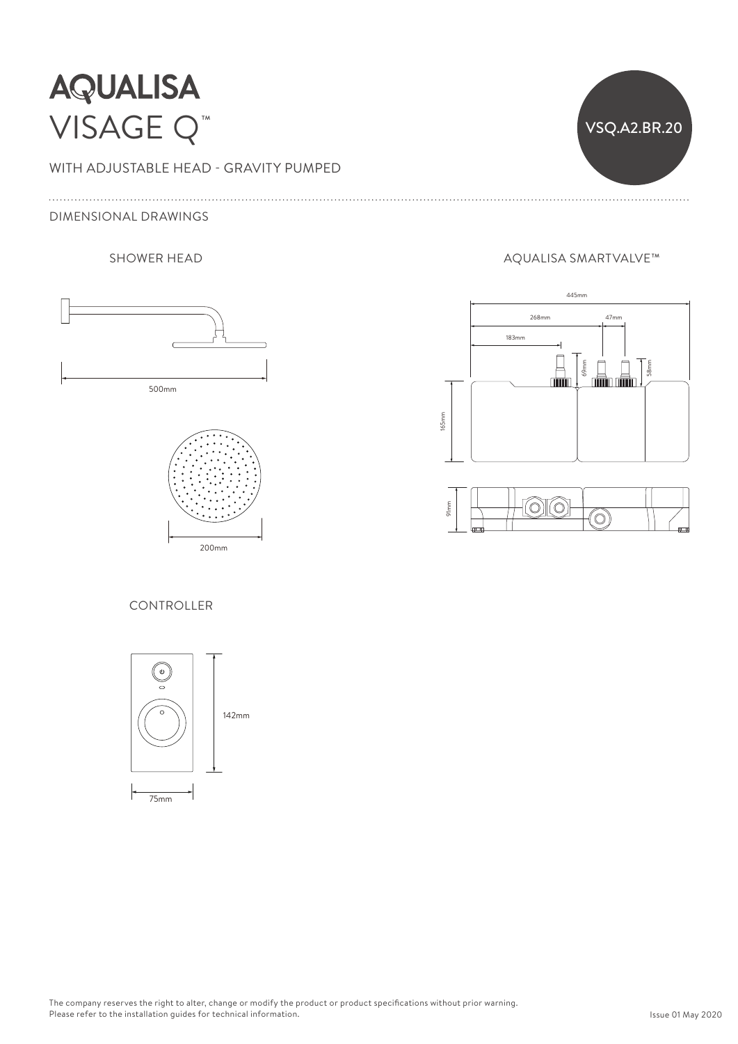# **AQUALISA** VISAGE Q™

WITH ADJUSTABLE HEAD - GRAVITY PUMPED

80mm

### DIMENSIONAL DRAWINGS 500mm





## SHOWER HEAD AQUALISA SMARTVALVE™

VSQ.A2.BR.20

165mm





#### **CONTROLLER**